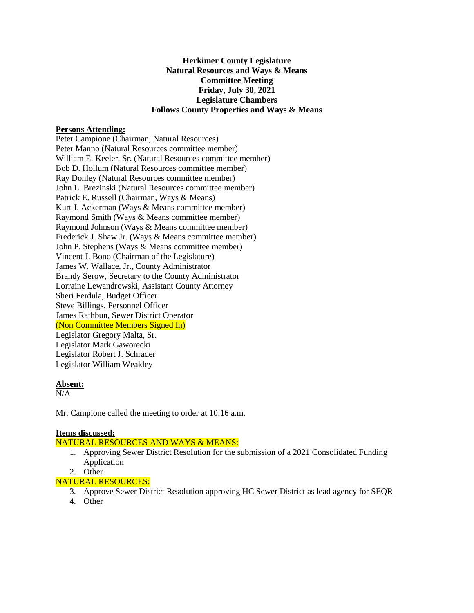# **Herkimer County Legislature Natural Resources and Ways & Means Committee Meeting Friday, July 30, 2021 Legislature Chambers Follows County Properties and Ways & Means**

### **Persons Attending:**

Peter Campione (Chairman, Natural Resources) Peter Manno (Natural Resources committee member) William E. Keeler, Sr. (Natural Resources committee member) Bob D. Hollum (Natural Resources committee member) Ray Donley (Natural Resources committee member) John L. Brezinski (Natural Resources committee member) Patrick E. Russell (Chairman, Ways & Means) Kurt J. Ackerman (Ways & Means committee member) Raymond Smith (Ways & Means committee member) Raymond Johnson (Ways & Means committee member) Frederick J. Shaw Jr. (Ways & Means committee member) John P. Stephens (Ways & Means committee member) Vincent J. Bono (Chairman of the Legislature) James W. Wallace, Jr., County Administrator Brandy Serow, Secretary to the County Administrator Lorraine Lewandrowski, Assistant County Attorney Sheri Ferdula, Budget Officer Steve Billings, Personnel Officer James Rathbun, Sewer District Operator (Non Committee Members Signed In) Legislator Gregory Malta, Sr. Legislator Mark Gaworecki Legislator Robert J. Schrader Legislator William Weakley

### **Absent:**

N/A

Mr. Campione called the meeting to order at 10:16 a.m.

#### **Items discussed:**

### NATURAL RESOURCES AND WAYS & MEANS:

- 1. Approving Sewer District Resolution for the submission of a 2021 Consolidated Funding Application
- 2. Other

# NATURAL RESOURCES:

- 3. Approve Sewer District Resolution approving HC Sewer District as lead agency for SEQR
- 4. Other